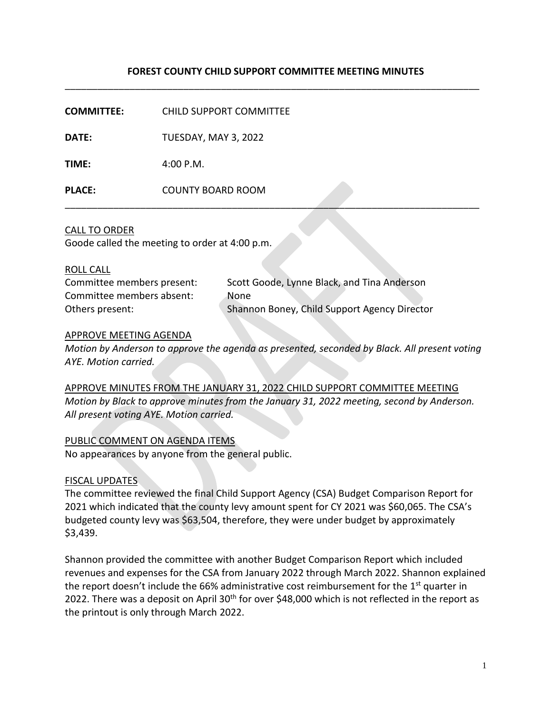# **FOREST COUNTY CHILD SUPPORT COMMITTEE MEETING MINUTES** \_\_\_\_\_\_\_\_\_\_\_\_\_\_\_\_\_\_\_\_\_\_\_\_\_\_\_\_\_\_\_\_\_\_\_\_\_\_\_\_\_\_\_\_\_\_\_\_\_\_\_\_\_\_\_\_\_\_\_\_\_\_\_\_\_\_\_\_\_\_\_\_\_\_\_\_\_

\_\_\_\_\_\_\_\_\_\_\_\_\_\_\_\_\_\_\_\_\_\_\_\_\_\_\_\_\_\_\_\_\_\_\_\_\_\_\_\_\_\_\_\_\_\_\_\_\_\_\_\_\_\_\_\_\_\_\_\_\_\_\_\_\_\_\_\_\_\_\_\_\_\_\_\_\_

**COMMITTEE:** CHILD SUPPORT COMMITTEE

**DATE:** TUESDAY, MAY 3, 2022

**TIME:** 4:00 P.M.

**PLACE:** COUNTY BOARD ROOM

### CALL TO ORDER

Goode called the meeting to order at 4:00 p.m.

#### ROLL CALL

| Committee members present: | Scott Goode, Lynne Black, and Tina Anderson  |
|----------------------------|----------------------------------------------|
| Committee members absent:  | None                                         |
| Others present:            | Shannon Boney, Child Support Agency Director |

### APPROVE MEETING AGENDA

*Motion by Anderson to approve the agenda as presented, seconded by Black. All present voting AYE. Motion carried.* 

APPROVE MINUTES FROM THE JANUARY 31, 2022 CHILD SUPPORT COMMITTEE MEETING *Motion by Black to approve minutes from the January 31, 2022 meeting, second by Anderson. All present voting AYE. Motion carried.*

## PUBLIC COMMENT ON AGENDA ITEMS

No appearances by anyone from the general public.

#### FISCAL UPDATES

The committee reviewed the final Child Support Agency (CSA) Budget Comparison Report for 2021 which indicated that the county levy amount spent for CY 2021 was \$60,065. The CSA's budgeted county levy was \$63,504, therefore, they were under budget by approximately \$3,439.

Shannon provided the committee with another Budget Comparison Report which included revenues and expenses for the CSA from January 2022 through March 2022. Shannon explained the report doesn't include the 66% administrative cost reimbursement for the 1<sup>st</sup> quarter in 2022. There was a deposit on April 30<sup>th</sup> for over \$48,000 which is not reflected in the report as the printout is only through March 2022.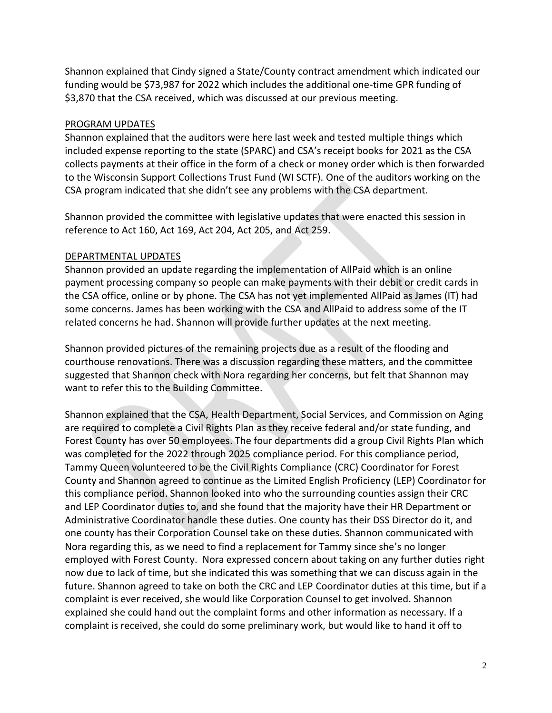Shannon explained that Cindy signed a State/County contract amendment which indicated our funding would be \$73,987 for 2022 which includes the additional one-time GPR funding of \$3,870 that the CSA received, which was discussed at our previous meeting.

## PROGRAM UPDATES

Shannon explained that the auditors were here last week and tested multiple things which included expense reporting to the state (SPARC) and CSA's receipt books for 2021 as the CSA collects payments at their office in the form of a check or money order which is then forwarded to the Wisconsin Support Collections Trust Fund (WI SCTF). One of the auditors working on the CSA program indicated that she didn't see any problems with the CSA department.

Shannon provided the committee with legislative updates that were enacted this session in reference to Act 160, Act 169, Act 204, Act 205, and Act 259.

## DEPARTMENTAL UPDATES

Shannon provided an update regarding the implementation of AllPaid which is an online payment processing company so people can make payments with their debit or credit cards in the CSA office, online or by phone. The CSA has not yet implemented AllPaid as James (IT) had some concerns. James has been working with the CSA and AllPaid to address some of the IT related concerns he had. Shannon will provide further updates at the next meeting.

Shannon provided pictures of the remaining projects due as a result of the flooding and courthouse renovations. There was a discussion regarding these matters, and the committee suggested that Shannon check with Nora regarding her concerns, but felt that Shannon may want to refer this to the Building Committee.

Shannon explained that the CSA, Health Department, Social Services, and Commission on Aging are required to complete a Civil Rights Plan as they receive federal and/or state funding, and Forest County has over 50 employees. The four departments did a group Civil Rights Plan which was completed for the 2022 through 2025 compliance period. For this compliance period, Tammy Queen volunteered to be the Civil Rights Compliance (CRC) Coordinator for Forest County and Shannon agreed to continue as the Limited English Proficiency (LEP) Coordinator for this compliance period. Shannon looked into who the surrounding counties assign their CRC and LEP Coordinator duties to, and she found that the majority have their HR Department or Administrative Coordinator handle these duties. One county has their DSS Director do it, and one county has their Corporation Counsel take on these duties. Shannon communicated with Nora regarding this, as we need to find a replacement for Tammy since she's no longer employed with Forest County. Nora expressed concern about taking on any further duties right now due to lack of time, but she indicated this was something that we can discuss again in the future. Shannon agreed to take on both the CRC and LEP Coordinator duties at this time, but if a complaint is ever received, she would like Corporation Counsel to get involved. Shannon explained she could hand out the complaint forms and other information as necessary. If a complaint is received, she could do some preliminary work, but would like to hand it off to